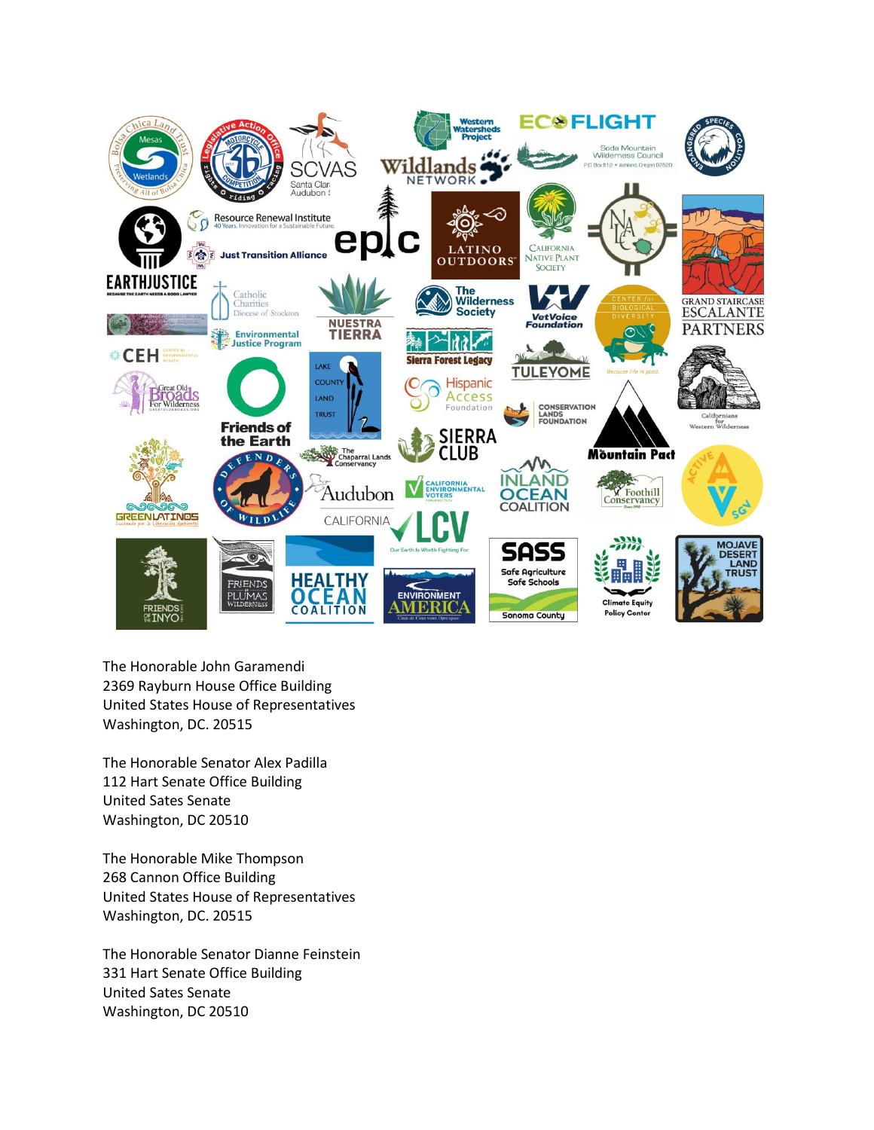

The Honorable John Garamendi 2369 Rayburn House Office Building United States House of Representatives Washington, DC. 20515

The Honorable Senator Alex Padilla 112 Hart Senate Office Building United Sates Senate Washington, DC 20510

The Honorable Mike Thompson 268 Cannon Office Building United States House of Representatives Washington, DC. 20515

The Honorable Senator Dianne Feinstein 331 Hart Senate Office Building United Sates Senate Washington, DC 20510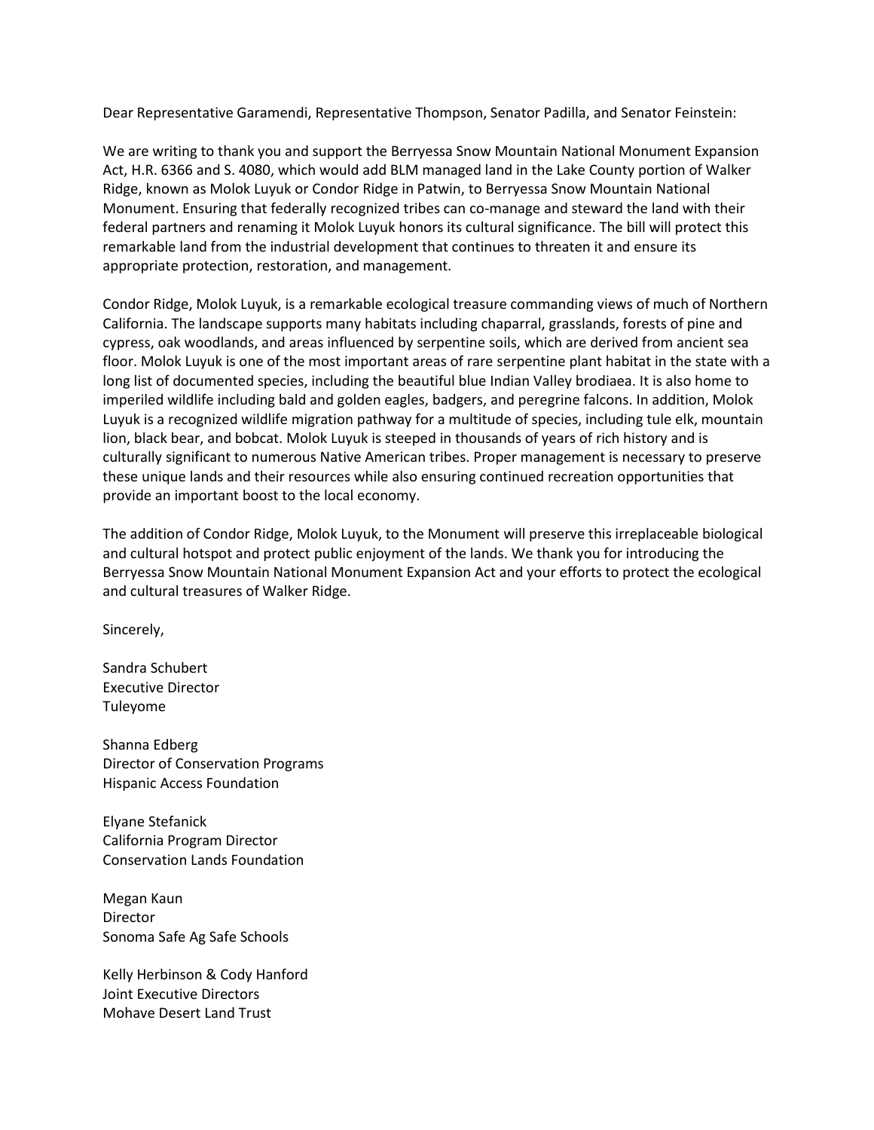Dear Representative Garamendi, Representative Thompson, Senator Padilla, and Senator Feinstein:

We are writing to thank you and support the Berryessa Snow Mountain National Monument Expansion Act, H.R. 6366 and S. 4080, which would add BLM managed land in the Lake County portion of Walker Ridge, known as Molok Luyuk or Condor Ridge in Patwin, to Berryessa Snow Mountain National Monument. Ensuring that federally recognized tribes can co-manage and steward the land with their federal partners and renaming it Molok Luyuk honors its cultural significance. The bill will protect this remarkable land from the industrial development that continues to threaten it and ensure its appropriate protection, restoration, and management.

Condor Ridge, Molok Luyuk, is a remarkable ecological treasure commanding views of much of Northern California. The landscape supports many habitats including chaparral, grasslands, forests of pine and cypress, oak woodlands, and areas influenced by serpentine soils, which are derived from ancient sea floor. Molok Luyuk is one of the most important areas of rare serpentine plant habitat in the state with a long list of documented species, including the beautiful blue Indian Valley brodiaea. It is also home to imperiled wildlife including bald and golden eagles, badgers, and peregrine falcons. In addition, Molok Luyuk is a recognized wildlife migration pathway for a multitude of species, including tule elk, mountain lion, black bear, and bobcat. Molok Luyuk is steeped in thousands of years of rich history and is culturally significant to numerous Native American tribes. Proper management is necessary to preserve these unique lands and their resources while also ensuring continued recreation opportunities that provide an important boost to the local economy.

The addition of Condor Ridge, Molok Luyuk, to the Monument will preserve this irreplaceable biological and cultural hotspot and protect public enjoyment of the lands. We thank you for introducing the Berryessa Snow Mountain National Monument Expansion Act and your efforts to protect the ecological and cultural treasures of Walker Ridge.

Sincerely,

Sandra Schubert Executive Director Tuleyome

Shanna Edberg Director of Conservation Programs Hispanic Access Foundation

Elyane Stefanick California Program Director Conservation Lands Foundation

Megan Kaun Director Sonoma Safe Ag Safe Schools

Kelly Herbinson & Cody Hanford Joint Executive Directors Mohave Desert Land Trust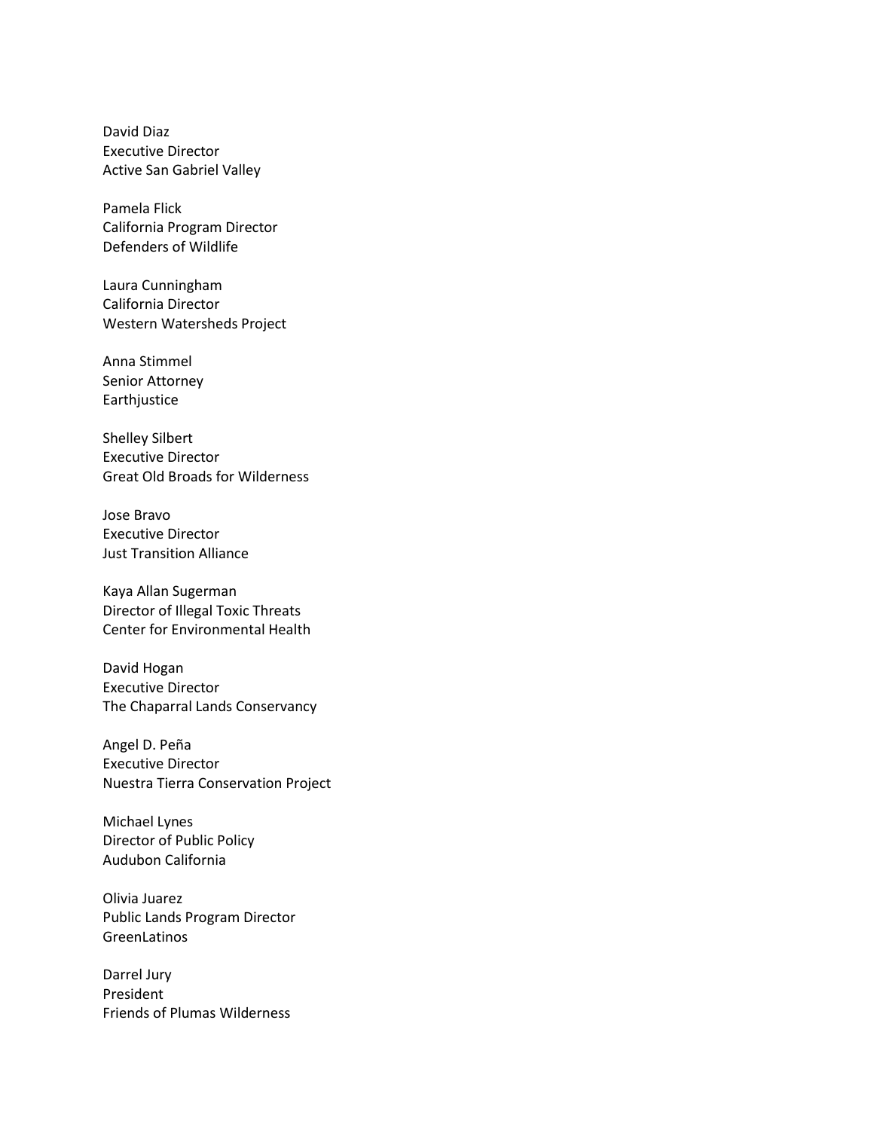David Diaz Executive Director Active San Gabriel Valley

Pamela Flick California Program Director Defenders of Wildlife

Laura Cunningham California Director Western Watersheds Project

Anna Stimmel Senior Attorney Earthjustice

Shelley Silbert Executive Director Great Old Broads for Wilderness

Jose Bravo Executive Director Just Transition Alliance

Kaya Allan Sugerman Director of Illegal Toxic Threats Center for Environmental Health

David Hogan Executive Director The Chaparral Lands Conservancy

Angel D. Peña Executive Director Nuestra Tierra Conservation Project

Michael Lynes Director of Public Policy Audubon California

Olivia Juarez Public Lands Program Director GreenLatinos

Darrel Jury President Friends of Plumas Wilderness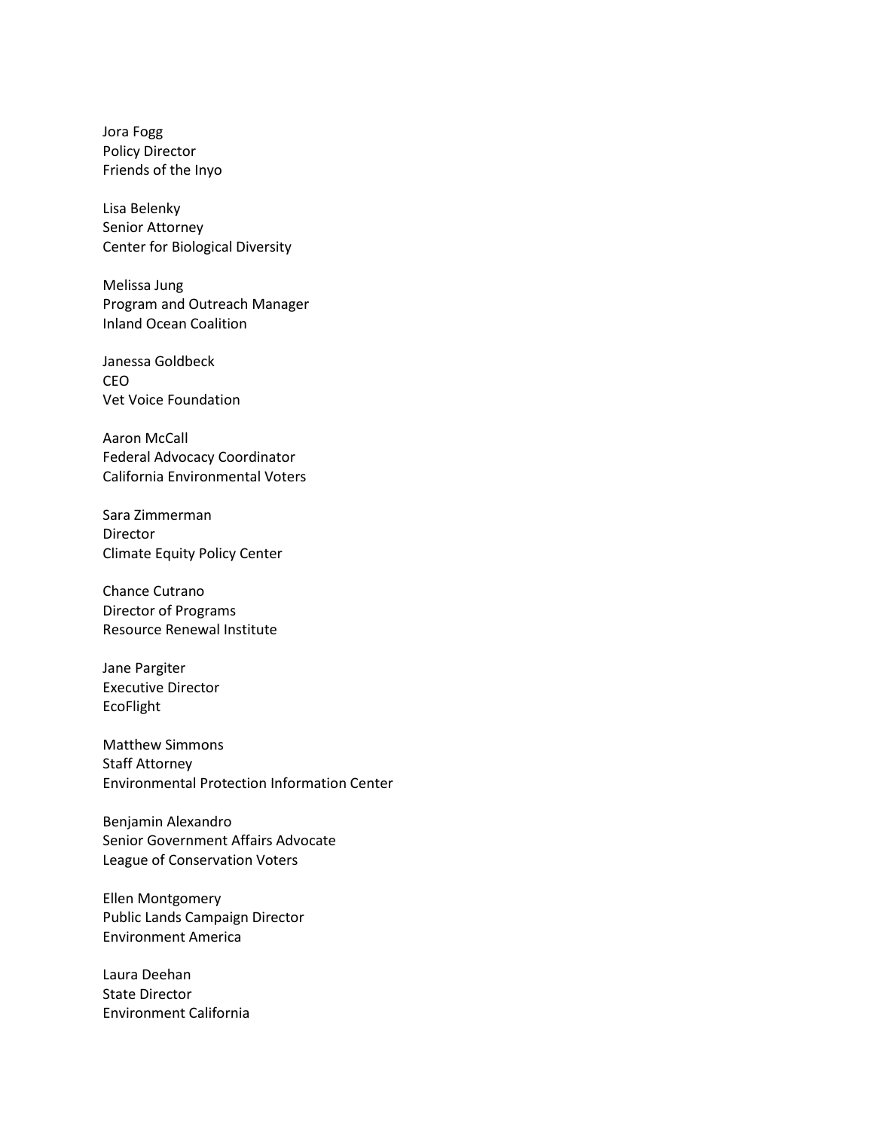Jora Fogg Policy Director Friends of the Inyo

Lisa Belenky Senior Attorney Center for Biological Diversity

Melissa Jung Program and Outreach Manager Inland Ocean Coalition

Janessa Goldbeck CEO Vet Voice Foundation

Aaron McCall Federal Advocacy Coordinator California Environmental Voters

Sara Zimmerman Director Climate Equity Policy Center

Chance Cutrano Director of Programs Resource Renewal Institute

Jane Pargiter Executive Director EcoFlight

Matthew Simmons Staff Attorney Environmental Protection Information Center

Benjamin Alexandro Senior Government Affairs Advocate League of Conservation Voters

Ellen Montgomery Public Lands Campaign Director Environment America

Laura Deehan State Director Environment California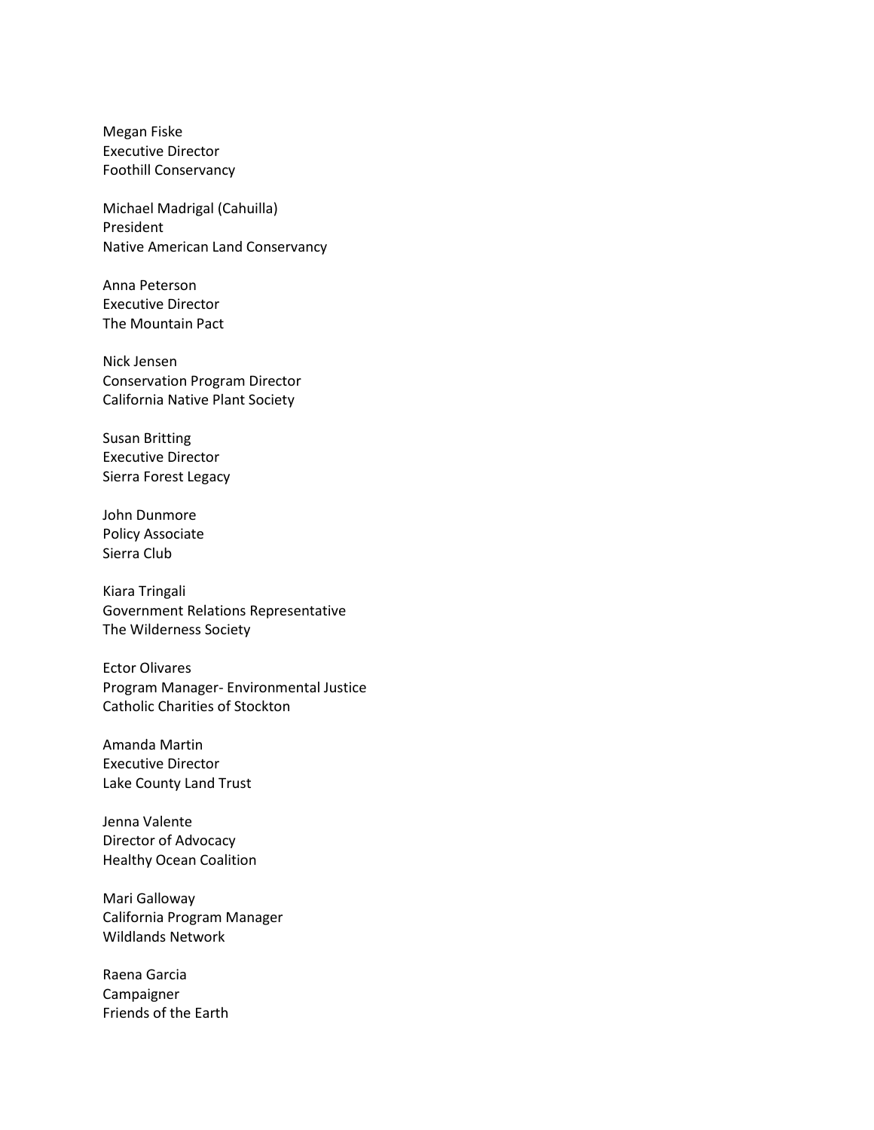Megan Fiske Executive Director Foothill Conservancy

Michael Madrigal (Cahuilla) President Native American Land Conservancy

Anna Peterson Executive Director The Mountain Pact

Nick Jensen Conservation Program Director California Native Plant Society

Susan Britting Executive Director Sierra Forest Legacy

John Dunmore Policy Associate Sierra Club

Kiara Tringali Government Relations Representative The Wilderness Society

Ector Olivares Program Manager- Environmental Justice Catholic Charities of Stockton

Amanda Martin Executive Director Lake County Land Trust

Jenna Valente Director of Advocacy Healthy Ocean Coalition

Mari Galloway California Program Manager Wildlands Network

Raena Garcia Campaigner Friends of the Earth